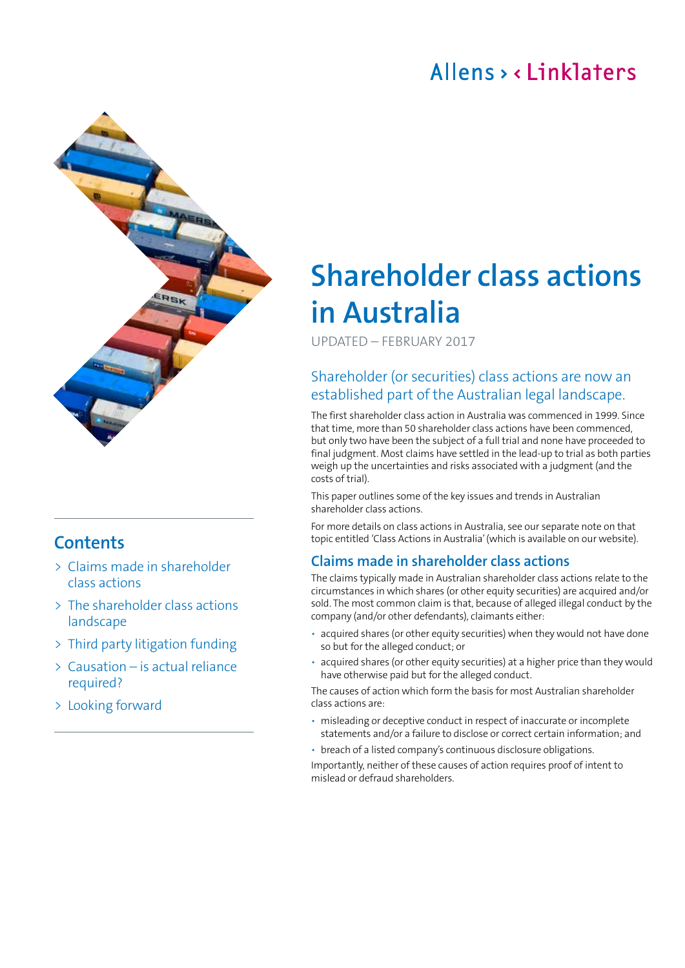## Allens, linklaters



## **Contents**

- > Claims made in shareholder class actions
- > [The shareholder class actions](#page-1-0)  [landscape](#page-1-0)
- > [Third party litigation funding](#page-2-0)
- > [Causation is actual reliance](#page-2-0)  [required?](#page-2-0)
- > [Looking forward](#page-3-0)

# **Shareholder class actions in Australia**

UPDATED – FEBRUARY 2017

### Shareholder (or securities) class actions are now an established part of the Australian legal landscape.

The first shareholder class action in Australia was commenced in 1999. Since that time, more than 50 shareholder class actions have been commenced, but only two have been the subject of a full trial and none have proceeded to final judgment. Most claims have settled in the lead‑up to trial as both parties weigh up the uncertainties and risks associated with a judgment (and the costs of trial).

This paper outlines some of the key issues and trends in Australian shareholder class actions.

For more details on class actions in Australia, see our separate note on that topic entitled '[Class Actions in Australia'](http://www.allens.com.au/pubs/ldr/papldrmay15-01.htm) (which is available on our website).

#### **Claims made in shareholder class actions**

The claims typically made in Australian shareholder class actions relate to the circumstances in which shares (or other equity securities) are acquired and/or sold. The most common claim is that, because of alleged illegal conduct by the company (and/or other defendants), claimants either:

- acquired shares (or other equity securities) when they would not have done so but for the alleged conduct; or
- acquired shares (or other equity securities) at a higher price than they would have otherwise paid but for the alleged conduct.

The causes of action which form the basis for most Australian shareholder class actions are:

- misleading or deceptive conduct in respect of inaccurate or incomplete statements and/or a failure to disclose or correct certain information; and
- breach of a listed company's continuous disclosure obligations.

Importantly, neither of these causes of action requires proof of intent to mislead or defraud shareholders.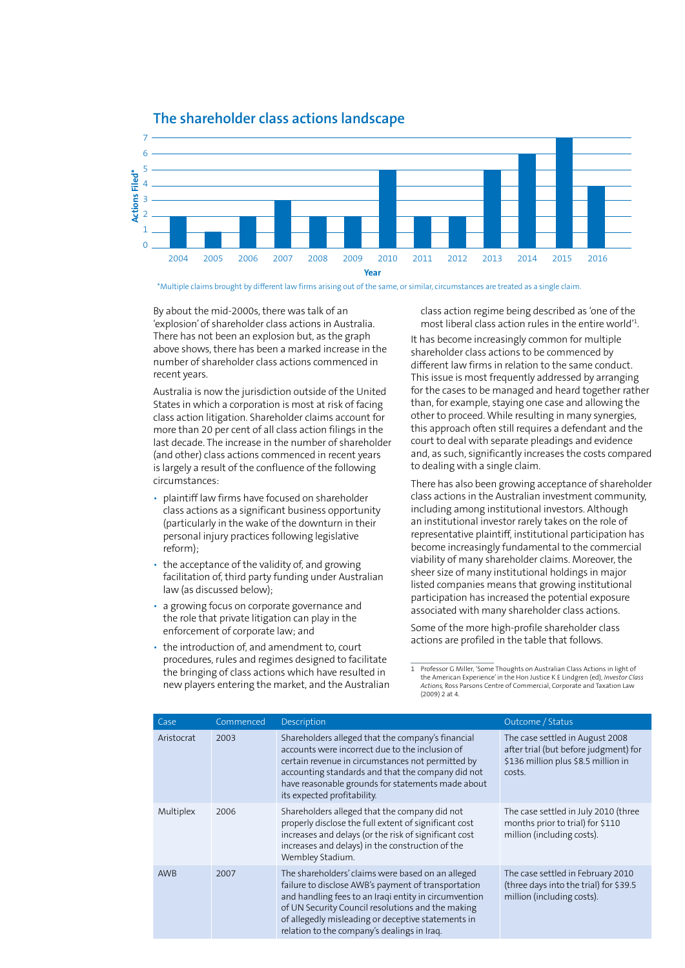<span id="page-1-0"></span>

#### **The shareholder class actions landscape**

\*Multiple claims brought by different law firms arising out of the same, or similar, circumstances are treated as a single claim.

By about the mid‑2000s, there was talk of an 'explosion' of shareholder class actions in Australia. There has not been an explosion but, as the graph above shows, there has been a marked increase in the number of shareholder class actions commenced in recent years.

Australia is now the jurisdiction outside of the United States in which a corporation is most at risk of facing class action litigation. Shareholder claims account for more than 20 per cent of all class action filings in the last decade. The increase in the number of shareholder (and other) class actions commenced in recent years is largely a result of the confluence of the following circumstances:

- plaintiff law firms have focused on shareholder class actions as a significant business opportunity (particularly in the wake of the downturn in their personal injury practices following legislative reform);
- the acceptance of the validity of, and growing facilitation of, third party funding under Australian law (as discussed below);
- a growing focus on corporate governance and the role that private litigation can play in the enforcement of corporate law; and
- the introduction of, and amendment to, court procedures, rules and regimes designed to facilitate the bringing of class actions which have resulted in new players entering the market, and the Australian

class action regime being described as 'one of the most liberal class action rules in the entire world'1 .

It has become increasingly common for multiple shareholder class actions to be commenced by different law firms in relation to the same conduct. This issue is most frequently addressed by arranging for the cases to be managed and heard together rather than, for example, staying one case and allowing the other to proceed. While resulting in many synergies, this approach often still requires a defendant and the court to deal with separate pleadings and evidence and, as such, significantly increases the costs compared to dealing with a single claim.

There has also been growing acceptance of shareholder class actions in the Australian investment community, including among institutional investors. Although an institutional investor rarely takes on the role of representative plaintiff, institutional participation has become increasingly fundamental to the commercial viability of many shareholder claims. Moreover, the sheer size of many institutional holdings in major listed companies means that growing institutional participation has increased the potential exposure associated with many shareholder class actions.

Some of the more high-profile shareholder class actions are profiled in the table that follows.

1 Professor G Miller, 'Some Thoughts on Australian Class Actions in light of the American Experience' in the Hon Justice K E Lindgren (ed), *Investor Class Actions,* Ross Parsons Centre of Commercial, Corporate and Taxation Law  $(2009)$  2 at 4.

| Case       | Commenced | Description                                                                                                                                                                                                                                                                                                                 | Outcome / Status                                                                                                          |
|------------|-----------|-----------------------------------------------------------------------------------------------------------------------------------------------------------------------------------------------------------------------------------------------------------------------------------------------------------------------------|---------------------------------------------------------------------------------------------------------------------------|
| Aristocrat | 2003      | Shareholders alleged that the company's financial<br>accounts were incorrect due to the inclusion of<br>certain revenue in circumstances not permitted by<br>accounting standards and that the company did not<br>have reasonable grounds for statements made about<br>its expected profitability.                          | The case settled in August 2008<br>after trial (but before judgment) for<br>\$136 million plus \$8.5 million in<br>costs. |
| Multiplex  | 2006      | Shareholders alleged that the company did not<br>properly disclose the full extent of significant cost<br>increases and delays (or the risk of significant cost<br>increases and delays) in the construction of the<br>Wembley Stadium.                                                                                     | The case settled in July 2010 (three<br>months prior to trial) for \$110<br>million (including costs).                    |
| <b>AWB</b> | 2007      | The shareholders' claims were based on an alleged<br>failure to disclose AWB's payment of transportation<br>and handling fees to an Iraqi entity in circumvention<br>of UN Security Council resolutions and the making<br>of allegedly misleading or deceptive statements in<br>relation to the company's dealings in Iraq. | The case settled in February 2010<br>(three days into the trial) for \$39.5<br>million (including costs).                 |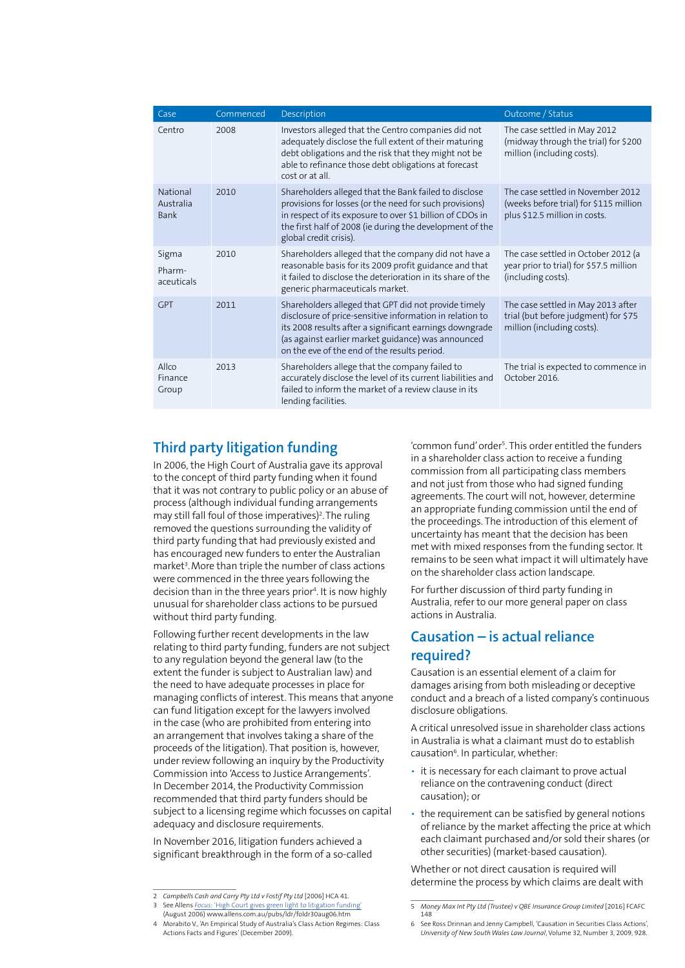<span id="page-2-0"></span>

| Case                          | Commenced | Description                                                                                                                                                                                                                                                                       | Outcome / Status                                                                                             |
|-------------------------------|-----------|-----------------------------------------------------------------------------------------------------------------------------------------------------------------------------------------------------------------------------------------------------------------------------------|--------------------------------------------------------------------------------------------------------------|
| Centro                        | 2008      | Investors alleged that the Centro companies did not<br>adequately disclose the full extent of their maturing<br>debt obligations and the risk that they might not be<br>able to refinance those debt obligations at forecast<br>cost or at all                                    | The case settled in May 2012<br>(midway through the trial) for \$200<br>million (including costs).           |
| National<br>Australia<br>Bank | 2010      | Shareholders alleged that the Bank failed to disclose<br>provisions for losses (or the need for such provisions)<br>in respect of its exposure to over \$1 billion of CDOs in<br>the first half of 2008 (ie during the development of the<br>global credit crisis).               | The case settled in November 2012<br>(weeks before trial) for \$115 million<br>plus \$12.5 million in costs. |
| Sigma<br>Pharm-<br>aceuticals | 2010      | Shareholders alleged that the company did not have a<br>reasonable basis for its 2009 profit guidance and that<br>it failed to disclose the deterioration in its share of the<br>generic pharmaceuticals market.                                                                  | The case settled in October 2012 (a<br>year prior to trial) for \$57.5 million<br>(including costs).         |
| <b>GPT</b>                    | 2011      | Shareholders alleged that GPT did not provide timely<br>disclosure of price-sensitive information in relation to<br>its 2008 results after a significant earnings downgrade<br>(as against earlier market guidance) was announced<br>on the eve of the end of the results period. | The case settled in May 2013 after<br>trial (but before judgment) for \$75<br>million (including costs).     |
| Allco<br>Finance<br>Group     | 2013      | Shareholders allege that the company failed to<br>accurately disclose the level of its current liabilities and<br>failed to inform the market of a review clause in its<br>lending facilities.                                                                                    | The trial is expected to commence in<br>October 2016.                                                        |

#### **Third party litigation funding**

In 2006, the High Court of Australia gave its approval to the concept of third party funding when it found that it was not contrary to public policy or an abuse of process (although individual funding arrangements may still fall foul of those imperatives)<sup>2</sup>. The ruling removed the questions surrounding the validity of third party funding that had previously existed and has encouraged new funders to enter the Australian market<sup>3</sup>. More than triple the number of class actions were commenced in the three years following the decision than in the three years prior<sup>4</sup>. It is now highly unusual for shareholder class actions to be pursued without third party funding.

Following further recent developments in the law relating to third party funding, funders are not subject to any regulation beyond the general law (to the extent the funder is subject to Australian law) and the need to have adequate processes in place for managing conflicts of interest. This means that anyone can fund litigation except for the lawyers involved in the case (who are prohibited from entering into an arrangement that involves taking a share of the proceeds of the litigation). That position is, however, under review following an inquiry by the Productivity Commission into 'Access to Justice Arrangements'. In December 2014, the Productivity Commission recommended that third party funders should be subject to a licensing regime which focusses on capital adequacy and disclosure requirements.

In November 2016, litigation funders achieved a significant breakthrough in the form of a so-called

'common fund' order<sup>5</sup>. This order entitled the funders in a shareholder class action to receive a funding commission from all participating class members and not just from those who had signed funding agreements. The court will not, however, determine an appropriate funding commission until the end of the proceedings. The introduction of this element of uncertainty has meant that the decision has been met with mixed responses from the funding sector. It remains to be seen what impact it will ultimately have on the shareholder class action landscape.

For further discussion of third party funding in Australia, refer to our more general paper on class actions in Australia.

#### **Causation – is actual reliance required?**

Causation is an essential element of a claim for damages arising from both misleading or deceptive conduct and a breach of a listed company's continuous disclosure obligations.

A critical unresolved issue in shareholder class actions in Australia is what a claimant must do to establish causation<sup>6</sup>. In particular, whether:

- it is necessary for each claimant to prove actual reliance on the contravening conduct (direct causation); or
- the requirement can be satisfied by general notions of reliance by the market affecting the price at which each claimant purchased and/or sold their shares (or other securities) (market‑based causation).

Whether or not direct causation is required will determine the process by which claims are dealt with

<sup>2</sup> *Campbells Cash and Carry Pty Ltd v Fostif Pty Ltd* [2006] HCA 41.

<sup>3</sup> See Allens *Focus*[: 'High Court gives green light to litigation funding'](www.allens.com.au/pubs/ldr/foldr30aug06.htm) (August 2006) [www.allens.com.au/pubs/ldr/foldr30aug06.htm](http://www.allens.com.au/pubs/ldr/foldr30aug06.htm)

<sup>4</sup> Morabito V., 'An Empirical Study of Australia's Class Action Regimes: Class Actions Facts and Figures' (December 2009).

<sup>5</sup> Money Max Int Pty Ltd (Trustee) v QBE Insurance Group Limited [2016] FCAFC 148

<sup>6</sup> See Ross Drinnan and Jenny Campbell, 'Causation in Securities Class Actions', *University of New South Wales Law Journal*, Volume 32, Number 3, 2009, 928.